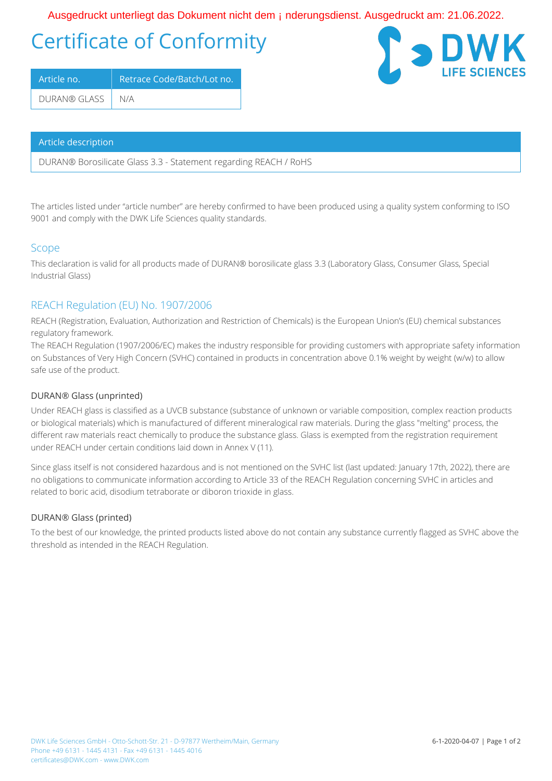## Certificate of Conformity OE • \* ^ å | ` & d { } c' | a \* ok as AO | \ ` { ^ } ch a & or kan { A } à ^ | ` } \* • å a } • de CE • \* ^ å | ` & ok e KAO FEE EGEOGE

| Article no.        | Retrace Code/Batch/Lot no. |
|--------------------|----------------------------|
| DURAN® GLASS   N/A |                            |

#### Article description

DURAN® Borosilicate Glass 3.3 - Statement regarding REACH / RoHS

The articles listed under "article number" are hereby confirmed to have been produced using a quality system conforming to ISO 9001 and comply with the DWK Life Sciences quality standards.

## Scope

This declaration is valid for all products made of DURAN® borosilicate glass 3.3 (Laboratory Glass, Consumer Glass, Special Industrial Glass)

## REACH Regulation (EU) No. 1907/2006

REACH (Registration, Evaluation, Authorization and Restriction of Chemicals) is the European Union's (EU) chemical substances regulatory framework.

The REACH Regulation (1907/2006/EC) makes the industry responsible for providing customers with appropriate safety information on Substances of Very High Concern (SVHC) contained in products in concentration above 0.1% weight by weight (w/w) to allow safe use of the product.

## DURAN® Glass (unprinted)

Under REACH glass is classified as a UVCB substance (substance of unknown or variable composition, complex reaction products or biological materials) which is manufactured of different mineralogical raw materials. During the glass "melting" process, the different raw materials react chemically to produce the substance glass. Glass is exempted from the registration requirement under REACH under certain conditions laid down in Annex V (11).

Since glass itself is not considered hazardous and is not mentioned on the SVHC list (last updated: January 17th, 2022), there are no obligations to communicate information according to Article 33 of the REACH Regulation concerning SVHC in articles and related to boric acid, disodium tetraborate or diboron trioxide in glass.

## DURAN® Glass (printed)

To the best of our knowledge, the printed products listed above do not contain any substance currently flagged as SVHC above the threshold as intended in the REACH Regulation.